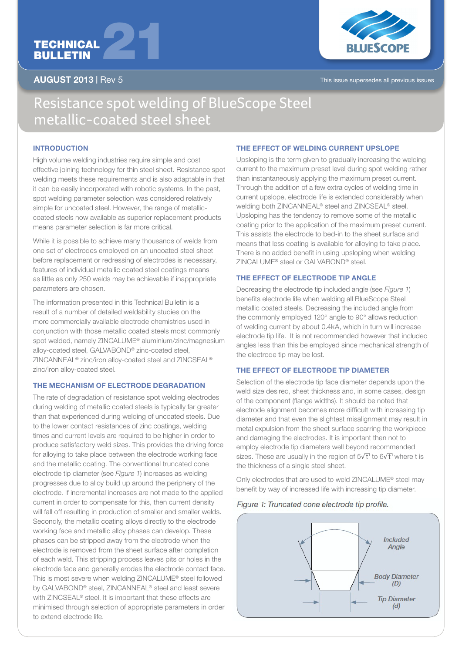# TECHNICAL TECHNICAL<br>BULLETIN



AUGUST 2013 | Rev 5 This issue supersedes all previous issues

## Resistance spot welding of BlueScope Steel metallic-coated steel sheet

#### **INTRODUCTION**

High volume welding industries require simple and cost effective joining technology for thin steel sheet. Resistance spot welding meets these requirements and is also adaptable in that it can be easily incorporated with robotic systems. In the past, spot welding parameter selection was considered relatively simple for uncoated steel. However, the range of metalliccoated steels now available as superior replacement products means parameter selection is far more critical.

While it is possible to achieve many thousands of welds from one set of electrodes employed on an uncoated steel sheet before replacement or redressing of electrodes is necessary, features of individual metallic coated steel coatings means as little as only 250 welds may be achievable if inappropriate parameters are chosen.

The information presented in this Technical Bulletin is a result of a number of detailed weldability studies on the more commercially available electrode chemistries used in conjunction with those metallic coated steels most commonly spot welded, namely ZINCALUME® aluminium/zinc/magnesium alloy-coated steel, GALVABOND® zinc-coated steel, ZINCANNEAL® zinc/iron alloy-coated steel and ZINCSEAL® zinc/iron alloy-coated steel.

#### THE MECHANISM OF ELECTRODE DEGRADATION

The rate of degradation of resistance spot welding electrodes during welding of metallic coated steels is typically far greater than that experienced during welding of uncoated steels. Due to the lower contact resistances of zinc coatings, welding times and current levels are required to be higher in order to produce satisfactory weld sizes. This provides the driving force for alloying to take place between the electrode working face and the metallic coating. The conventional truncated cone electrode tip diameter (see *Figure 1*) increases as welding progresses due to alloy build up around the periphery of the electrode. If incremental increases are not made to the applied current in order to compensate for this, then current density will fall off resulting in production of smaller and smaller welds. Secondly, the metallic coating alloys directly to the electrode working face and metallic alloy phases can develop. These phases can be stripped away from the electrode when the electrode is removed from the sheet surface after completion of each weld. This stripping process leaves pits or holes in the electrode face and generally erodes the electrode contact face. This is most severe when welding ZINCALUME® steel followed by GALVABOND® steel, ZINCANNEAL® steel and least severe with ZINCSEAL® steel. It is important that these effects are minimised through selection of appropriate parameters in order to extend electrode life.

#### THE EFFECT OF WELDING CURRENT UPSLOPE

Upsloping is the term given to gradually increasing the welding current to the maximum preset level during spot welding rather than instantaneously applying the maximum preset current. Through the addition of a few extra cycles of welding time in current upslope, electrode life is extended considerably when welding both ZINCANNEAL® steel and ZINCSEAL® steel. Upsloping has the tendency to remove some of the metallic coating prior to the application of the maximum preset current. This assists the electrode to bed-in to the sheet surface and means that less coating is available for alloying to take place. There is no added benefit in using upsloping when welding ZINCALUME® steel or GALVABOND® steel.

#### THE EFFECT OF ELECTRODE TIP ANGLE

Decreasing the electrode tip included angle (see *Figure 1*) benefits electrode life when welding all BlueScope Steel metallic coated steels. Decreasing the included angle from the commonly employed 120° angle to 90° allows reduction of welding current by about 0.4kA, which in turn will increase electrode tip life. It is not recommended however that included angles less than this be employed since mechanical strength of the electrode tip may be lost.

#### THE EFFECT OF ELECTRODE TIP DIAMETER

Selection of the electrode tip face diameter depends upon the weld size desired, sheet thickness and, in some cases, design of the component (flange widths). It should be noted that electrode alignment becomes more difficult with increasing tip diameter and that even the slightest misalignment may result in metal expulsion from the sheet surface scarring the workpiece and damaging the electrodes. It is important then not to employ electrode tip diameters well beyond recommended sizes. These are usually in the region of  $5\sqrt{t}$  to  $6\sqrt{t}$  where t is the thickness of a single steel sheet.

Only electrodes that are used to weld ZINCALUME® steel may benefit by way of increased life with increasing tip diameter.

#### Figure 1: Truncated cone electrode tip profile.

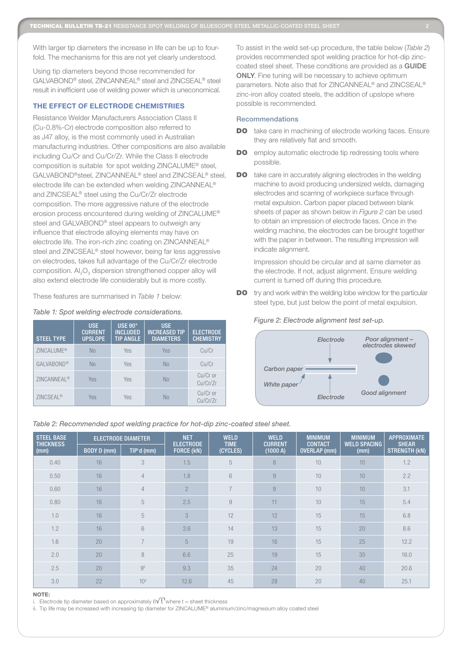With larger tip diameters the increase in life can be up to fourfold. The mechanisms for this are not yet clearly understood.

Using tip diameters beyond those recommended for GALVABOND® steel, ZINCANNEAL® steel and ZINCSEAL® steel result in inefficient use of welding power which is uneconomical.

#### THE EFFECT OF ELECTRODE CHEMISTRIES

Resistance Welder Manufacturers Association Class II (Cu-0.8%-Cr) electrode composition also referred to as J47 alloy, is the most commonly used in Australian manufacturing industries. Other compositions are also available including Cu/Cr and Cu/Cr/Zr. While the Class II electrode composition is suitable for spot welding ZINCALUME® steel, GALVABOND®steel, ZINCANNEAL® steel and ZINCSEAL® steel, electrode life can be extended when welding ZINCANNEAL® and ZINCSEAL® steel using the Cu/Cr/Zr electrode composition. The more aggressive nature of the electrode erosion process encountered during welding of ZINCALUME® steel and GALVABOND® steel appears to outweigh any influence that electrode alloying elements may have on electrode life. The iron-rich zinc coating on ZINCANNEAL® steel and ZINCSEAL® steel however, being far less aggressive on electrodes, takes full advantage of the Cu/Cr/Zr electrode composition.  $Al_2O_3$  dispersion strengthened copper alloy will also extend electrode life considerably but is more costly.

These features are summarised in *Table 1* below:

#### *Table 1: Spot welding electrode considerations.*

| <b>STEEL TYPE</b>       | <b>USE</b><br><b>CURRENT</b><br><b>UPSLOPE</b> | <b>USE 90°</b><br><b>INCLUDED</b><br><b>TIP ANGLE</b> | <b>USE</b><br><b>INCREASED TIP</b><br><b>DIAMETERS</b> | <b>ELECTRODE</b><br><b>CHEMISTRY</b> |
|-------------------------|------------------------------------------------|-------------------------------------------------------|--------------------------------------------------------|--------------------------------------|
| ZINCALUME <sup>®</sup>  | <b>No</b>                                      | Yes                                                   | Yes                                                    | Cu/Cr                                |
| GALVABOND®              | <b>No</b>                                      | Yes                                                   | No.                                                    | Cu/Cr                                |
| ZINCANNEAL <sup>®</sup> | Yes                                            | Yes                                                   | No                                                     | Cu/Cr or<br>Cu/Cr/Zr                 |
| ZINCSEAL <sup>®</sup>   | Yes                                            | Yes                                                   | Nο                                                     | Cu/Cr or<br>Cu/Cr/Zr                 |

To assist in the weld set-up procedure, the table below (*Table* 2) provides recommended spot welding practice for hot-dip zinccoated steel sheet. These conditions are provided as a GUIDE ONLY. Fine tuning will be necessary to achieve optimum parameters. Note also that for ZINCANNEAL® and ZINCSEAL® zinc-iron alloy coated steels, the addition of upslope where possible is recommended.

#### Recommendations

- **DO** take care in machining of electrode working faces. Ensure they are relatively flat and smooth.
- **DO** employ automatic electrode tip redressing tools where possible.
- DO take care in accurately aligning electrodes in the welding machine to avoid producing undersized welds, damaging electrodes and scarring of workpiece surface through metal expulsion. Carbon paper placed between blank sheets of paper as shown below in *Figure 2* can be used to obtain an impression of electrode faces. Once in the welding machine, the electrodes can be brought together with the paper in between. The resulting impression will indicate alignment.

Impression should be circular and at same diameter as the electrode. If not, adjust alignment. Ensure welding current is turned off during this procedure.

DO try and work within the welding lobe window for the particular steel type, but just below the point of metal expulsion.

*Figure 2: Electrode alignment test set-up.*



### *Table 2: Recommended spot welding practice for hot-dip zinc-coated steel sheet.*

| <b>STEEL BASE</b><br><b>THICKNESS</b> | <b>ELECTRODE DIAMETER</b> |                         | <b>NET</b><br><b>ELECTRODE</b> | <b>WELD</b><br><b>TIME</b> | <b>WELD</b><br><b>CURRENT</b> | <b>MINIMUM</b><br><b>CONTACT</b> | <b>MINIMUM</b><br><b>WELD SPACING</b> | <b>APPROXIMATE</b><br><b>SHEAR</b> |
|---------------------------------------|---------------------------|-------------------------|--------------------------------|----------------------------|-------------------------------|----------------------------------|---------------------------------------|------------------------------------|
| (mm)                                  | BODY D (mm)               | TIP <sup>i</sup> d (mm) | FORCE (kN)                     | (CYCLES)                   | (1000 A)                      | <b>OVERLAP</b> (mm)              | (mm)                                  | <b>STRENGTH (KN)</b>               |
| 0.40                                  | 16                        | 3                       | 1.5                            | 5                          | 8                             | 10                               | 10                                    | 1.2                                |
| 0.50                                  | 16                        | $\overline{4}$          | 1.8                            | 6                          | 9                             | 10                               | 10                                    | 2.2                                |
| 0.60                                  | 16                        | $\overline{4}$          | $\overline{2}$                 | $\overline{7}$             | 9                             | 10                               | 10                                    | 3.1                                |
| 0.80                                  | 16                        | 5                       | 2.5                            | 9                          | 11                            | 10                               | 15                                    | 5.4                                |
| 1.0                                   | 16                        | 5                       | 3                              | 12                         | 12                            | 15                               | 15                                    | 6.8                                |
| 1.2                                   | 16                        | 6                       | 3.6                            | 14                         | 13                            | 15                               | 20                                    | 8.6                                |
| 1.6                                   | 20                        | $\overline{7}$          | 5                              | 19                         | 16                            | 15                               | 25                                    | 12.2                               |
| 2.0                                   | 20                        | 8                       | 6.6                            | 25                         | 19                            | 15                               | 30                                    | 16.0                               |
| 2.5                                   | 20                        | gii                     | 9.3                            | 35                         | 24                            | 20                               | 40                                    | 20.6                               |
| 3.0                                   | 22                        | $10$ <sup>ii</sup>      | 12.6                           | 45                         | 28                            | 20                               | 40                                    | 25.1                               |

#### NOTE:

i. Electrode tip diameter based on approximately  $6\sqrt{t}$  where t = sheet thickness

ii. Tip life may be increased with increasing tip diameter for ZINCALUME® aluminium/zinc/magnesium alloy coated steel